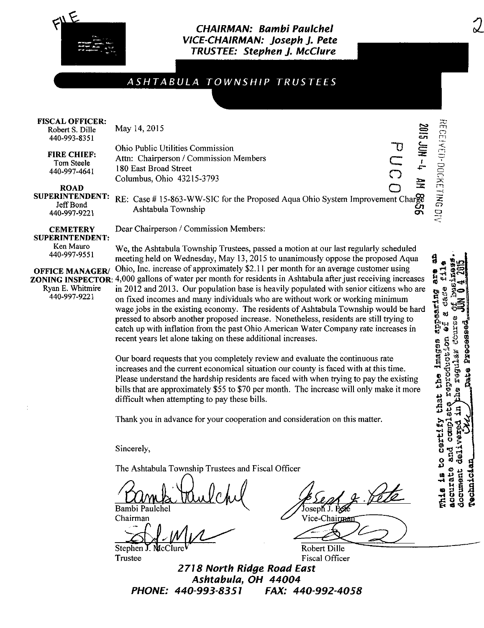

## CHAIRMAN: Bambi Paulchel VICE-CHAIRMAN: Joseph J. Pete TRUSTEE: Stephen J. McClure

# ASHTABULA TOWNSHIP TRUSTEES

#### FISCAL OFFICER:

Robert S. Dille 440-993-8351

FIRE CHIEF: Tom Steele 440-997-4641

May 14,2015

Ohio Public Utilities Commission Attn: Chairperson / Commission Members 180 East Broad Street Coiumbus, Ohio 43215-3793

Dear Chairperson / Commission Members:

ROAD<br>SUPERINTENDENT:

o SUPERINTENDENT: RE: Case # 15-863-WW-SIC for the Proposed Aqua Ohio System Improvement Charge  $440.997.9221$  Ashtabula Township

**CEMETERY** SUPERINTENDENT:

Ken Mauro 440-997-9551

OFFICE MANAGER/ Ryan E. Whitmire 440-997-9221

ZONING INSPECTOR: 4,000 gallons of water per month for residents in Ashtabula after just receiving increases We, the Ashtabula Township Trustees, passed a motion at our last regularly scheduled meeting held on Wednesday, May 13,2015 to unanimously oppose the proposed Aqua Ohio, Inc. increase of approximately \$2.11 per month for an average customer using in 2012 and 2013. Our population base is heavily populated with senior citizens who are on fixed incomes and many individuals who are without work or working minimum wage jobs in the existing economy. The residents of Ashtabula Township would be hard pressed to absorb another proposed increase. Nonetheless, residents are still trying to catch up with inflation from the past Ohio American Water Company rate increases in recent years let alone taking on these additional increases.

> Our board requests that you completely review and evaluate the continuous rate increases and the current economical situation our county is faced with at this time. Please understand the hardship residents are faced with when trying to pay the existing bills that are approximately \$55 to \$70 per month. The increase will only make it more difficult when attempting to pay these bills.

Thank you in advance for your cooperation and consideration on this matter.

Sincerely,

The Ashtabula Township Trustees and Fiscal Officer

Bambi Paulchel

Chairman

Stephen

**Trustee** 

Vice-Chairm

Robert Dille Fiscal Officer

2775 North Ridge Road East Ashtabula, OH 44004<br>PHONE: 440-993-8351 FAX: 44 FAX: 440-992-4058 a are  $\mathbf{f}$ Case  $\frac{a_1}{b_1}$  are  $\frac{a_1-a_2}{b_1}$ Ui 0) ដូ ទី អ្ន at « o o e imag<br>refuot<br>sgulai ā.  $55 \%$ \*^ ts ta certify COND and  $\frac{18}{2}$ document **ACCUTEL Nechnic** rh1s

"0

**t<sub>r</sub>- NOC SIOZ** 

o

ິດ<br>ລ

 $\frac{2}{5}$ 

 $\bar{\circ}$ 

 $\mathcal{Q}$